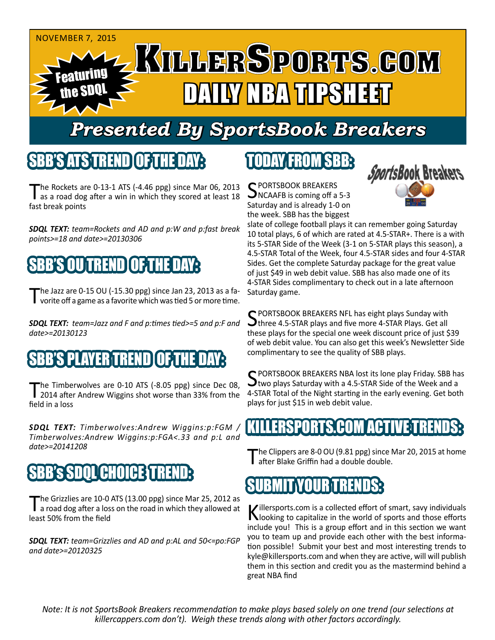

## *Presented By SportsBook Breakers*

#### SBB'S ATSTREND

The Rockets are  $0-13-1$  ATS  $(-4.46$  ppg) since Mar 06, 2013 as a road dog after a win in which they scored at least 18 fast break points

*SDQL TEXT: team=Rockets and AD and p:W and p:fast break points>=18 and date>=20130306*

## IRENDI

The Jazz are 0-15 OU (-15.30 ppg) since Jan 23, 2013 as a fa-<br>
vorite off a game as a favorite which was tied 5 or more time.

*SDQL TEXT: team=Jazz and F and p:times tied>=5 and p:F and date>=20130123*

### 'S PLAYER TREND [OF:1

The Timberwolves are 0-10 ATS (-8.05 ppg) since Dec 08,<br>2014 after Andrew Wiggins shot worse than 33% from the field in a loss

*SDQL TEXT: Timberwolves:Andrew Wiggins:p:FGM / Timberwolves:Andrew Wiggins:p:FGA<.33 and p:L and date>=20141208*

## **SBB's SDOL CHOICE TRE**

The Grizzlies are 10-0 ATS (13.00 ppg) since Mar 25, 2012 as<br>a road dog after a loss on the road in which they allowed at least 50% from the field

*SDQL TEXT: team=Grizzlies and AD and p:AL and 50<=po:FGP and date>=20120325*

#### TODAY FROM SBB:

C PORTSBOOK BREAKERS NCAAFB is coming off a 5-3 Saturday and is already 1-0 on the week. SBB has the biggest



slate of college football plays it can remember going Saturday 10 total plays, 6 of which are rated at 4.5-STAR+. There is a with its 5-STAR Side of the Week (3-1 on 5-STAR plays this season), a 4.5-STAR Total of the Week, four 4.5-STAR sides and four 4-STAR Sides. Get the complete Saturday package for the great value of just \$49 in web debit value. SBB has also made one of its 4-STAR Sides complimentary to check out in a late afternoon Saturday game.

C PORTSBOOK BREAKERS NFL has eight plays Sunday with Othree 4.5-STAR plays and five more 4-STAR Plays. Get all these plays for the special one week discount price of just \$39 of web debit value. You can also get this week's Newsletter Side complimentary to see the quality of SBB plays.

C PORTSBOOK BREAKERS NBA lost its lone play Friday. SBB has  $\mathbf{\Sigma}$ two plays Saturday with a 4.5-STAR Side of the Week and a 4-STAR Total of the Night starting in the early evening. Get both plays for just \$15 in web debit value.

#### KILLERSPORTS.COM ACTIVE TRENDS:

The Clippers are 8-0 OU (9.81 ppg) since Mar 20, 2015 at home after Blake Griffin had a double double.



Killersports.com is a collected effort of smart, savy individuals<br>Nooking to capitalize in the world of sports and those efforts include you! This is a group effort and in this section we want you to team up and provide each other with the best information possible! Submit your best and most interesting trends to kyle@killersports.com and when they are active, will will publish them in this section and credit you as the mastermind behind a great NBA find

*Note: It is not SportsBook Breakers recommendation to make plays based solely on one trend (our selections at killercappers.com don't). Weigh these trends along with other factors accordingly.*